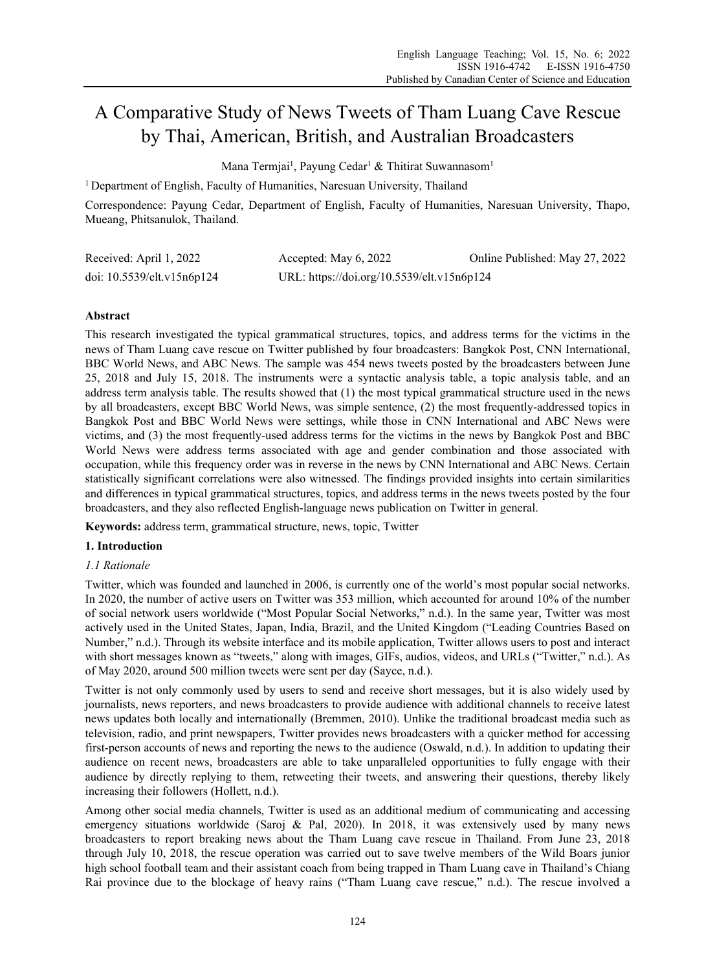# A Comparative Study of News Tweets of Tham Luang Cave Rescue by Thai, American, British, and Australian Broadcasters

Mana Termjai<sup>1</sup>, Payung Cedar<sup>1</sup> & Thitirat Suwannasom<sup>1</sup>

<sup>1</sup> Department of English, Faculty of Humanities, Naresuan University, Thailand

Correspondence: Payung Cedar, Department of English, Faculty of Humanities, Naresuan University, Thapo, Mueang, Phitsanulok, Thailand.

| Received: April 1, 2022    | Accepted: May 6, 2022                      | Online Published: May 27, 2022 |
|----------------------------|--------------------------------------------|--------------------------------|
| doi: 10.5539/elt.v15n6p124 | URL: https://doi.org/10.5539/elt.v15n6p124 |                                |

# **Abstract**

This research investigated the typical grammatical structures, topics, and address terms for the victims in the news of Tham Luang cave rescue on Twitter published by four broadcasters: Bangkok Post, CNN International, BBC World News, and ABC News. The sample was 454 news tweets posted by the broadcasters between June 25, 2018 and July 15, 2018. The instruments were a syntactic analysis table, a topic analysis table, and an address term analysis table. The results showed that (1) the most typical grammatical structure used in the news by all broadcasters, except BBC World News, was simple sentence, (2) the most frequently-addressed topics in Bangkok Post and BBC World News were settings, while those in CNN International and ABC News were victims, and (3) the most frequently-used address terms for the victims in the news by Bangkok Post and BBC World News were address terms associated with age and gender combination and those associated with occupation, while this frequency order was in reverse in the news by CNN International and ABC News. Certain statistically significant correlations were also witnessed. The findings provided insights into certain similarities and differences in typical grammatical structures, topics, and address terms in the news tweets posted by the four broadcasters, and they also reflected English-language news publication on Twitter in general.

**Keywords:** address term, grammatical structure, news, topic, Twitter

# **1. Introduction**

## *1.1 Rationale*

Twitter, which was founded and launched in 2006, is currently one of the world's most popular social networks. In 2020, the number of active users on Twitter was 353 million, which accounted for around 10% of the number of social network users worldwide ("Most Popular Social Networks," n.d.). In the same year, Twitter was most actively used in the United States, Japan, India, Brazil, and the United Kingdom ("Leading Countries Based on Number," n.d.). Through its website interface and its mobile application, Twitter allows users to post and interact with short messages known as "tweets," along with images, GIFs, audios, videos, and URLs ("Twitter," n.d.). As of May 2020, around 500 million tweets were sent per day (Sayce, n.d.).

Twitter is not only commonly used by users to send and receive short messages, but it is also widely used by journalists, news reporters, and news broadcasters to provide audience with additional channels to receive latest news updates both locally and internationally (Bremmen, 2010). Unlike the traditional broadcast media such as television, radio, and print newspapers, Twitter provides news broadcasters with a quicker method for accessing first-person accounts of news and reporting the news to the audience (Oswald, n.d.). In addition to updating their audience on recent news, broadcasters are able to take unparalleled opportunities to fully engage with their audience by directly replying to them, retweeting their tweets, and answering their questions, thereby likely increasing their followers (Hollett, n.d.).

Among other social media channels, Twitter is used as an additional medium of communicating and accessing emergency situations worldwide (Saroj & Pal, 2020). In 2018, it was extensively used by many news broadcasters to report breaking news about the Tham Luang cave rescue in Thailand. From June 23, 2018 through July 10, 2018, the rescue operation was carried out to save twelve members of the Wild Boars junior high school football team and their assistant coach from being trapped in Tham Luang cave in Thailand's Chiang Rai province due to the blockage of heavy rains ("Tham Luang cave rescue," n.d.). The rescue involved a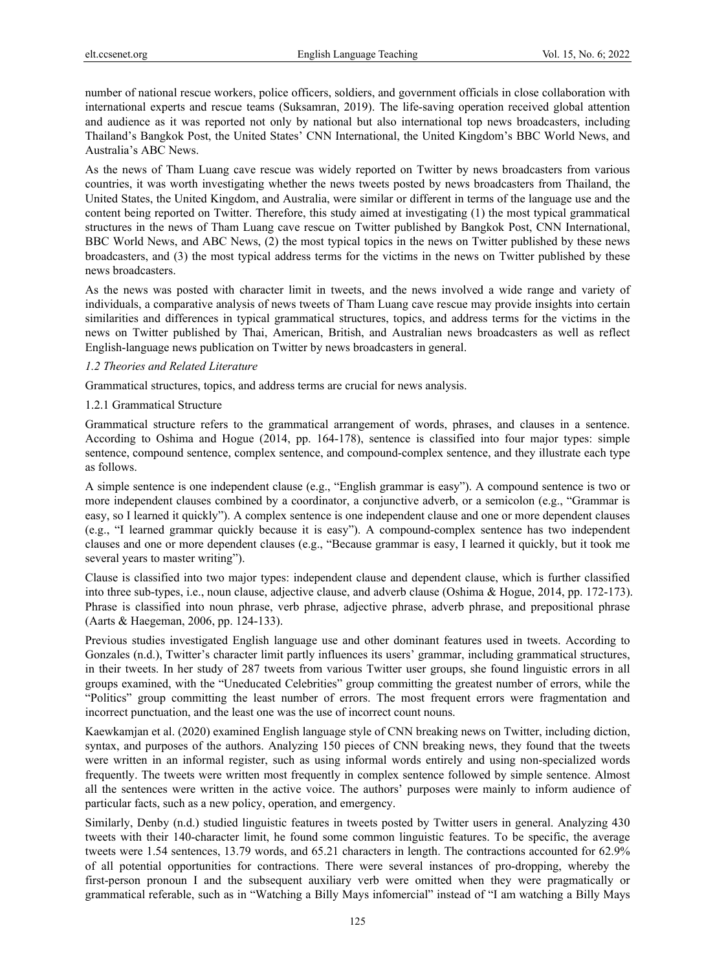number of national rescue workers, police officers, soldiers, and government officials in close collaboration with international experts and rescue teams (Suksamran, 2019). The life-saving operation received global attention and audience as it was reported not only by national but also international top news broadcasters, including Thailand's Bangkok Post, the United States' CNN International, the United Kingdom's BBC World News, and Australia's ABC News.

As the news of Tham Luang cave rescue was widely reported on Twitter by news broadcasters from various countries, it was worth investigating whether the news tweets posted by news broadcasters from Thailand, the United States, the United Kingdom, and Australia, were similar or different in terms of the language use and the content being reported on Twitter. Therefore, this study aimed at investigating (1) the most typical grammatical structures in the news of Tham Luang cave rescue on Twitter published by Bangkok Post, CNN International, BBC World News, and ABC News, (2) the most typical topics in the news on Twitter published by these news broadcasters, and (3) the most typical address terms for the victims in the news on Twitter published by these news broadcasters.

As the news was posted with character limit in tweets, and the news involved a wide range and variety of individuals, a comparative analysis of news tweets of Tham Luang cave rescue may provide insights into certain similarities and differences in typical grammatical structures, topics, and address terms for the victims in the news on Twitter published by Thai, American, British, and Australian news broadcasters as well as reflect English-language news publication on Twitter by news broadcasters in general.

#### *1.2 Theories and Related Literature*

Grammatical structures, topics, and address terms are crucial for news analysis.

#### 1.2.1 Grammatical Structure

Grammatical structure refers to the grammatical arrangement of words, phrases, and clauses in a sentence. According to Oshima and Hogue (2014, pp. 164-178), sentence is classified into four major types: simple sentence, compound sentence, complex sentence, and compound-complex sentence, and they illustrate each type as follows.

A simple sentence is one independent clause (e.g., "English grammar is easy"). A compound sentence is two or more independent clauses combined by a coordinator, a conjunctive adverb, or a semicolon (e.g., "Grammar is easy, so I learned it quickly"). A complex sentence is one independent clause and one or more dependent clauses (e.g., "I learned grammar quickly because it is easy"). A compound-complex sentence has two independent clauses and one or more dependent clauses (e.g., "Because grammar is easy, I learned it quickly, but it took me several years to master writing").

Clause is classified into two major types: independent clause and dependent clause, which is further classified into three sub-types, i.e., noun clause, adjective clause, and adverb clause (Oshima & Hogue, 2014, pp. 172-173). Phrase is classified into noun phrase, verb phrase, adjective phrase, adverb phrase, and prepositional phrase (Aarts & Haegeman, 2006, pp. 124-133).

Previous studies investigated English language use and other dominant features used in tweets. According to Gonzales (n.d.), Twitter's character limit partly influences its users' grammar, including grammatical structures, in their tweets. In her study of 287 tweets from various Twitter user groups, she found linguistic errors in all groups examined, with the "Uneducated Celebrities" group committing the greatest number of errors, while the "Politics" group committing the least number of errors. The most frequent errors were fragmentation and incorrect punctuation, and the least one was the use of incorrect count nouns.

Kaewkamjan et al. (2020) examined English language style of CNN breaking news on Twitter, including diction, syntax, and purposes of the authors. Analyzing 150 pieces of CNN breaking news, they found that the tweets were written in an informal register, such as using informal words entirely and using non-specialized words frequently. The tweets were written most frequently in complex sentence followed by simple sentence. Almost all the sentences were written in the active voice. The authors' purposes were mainly to inform audience of particular facts, such as a new policy, operation, and emergency.

Similarly, Denby (n.d.) studied linguistic features in tweets posted by Twitter users in general. Analyzing 430 tweets with their 140-character limit, he found some common linguistic features. To be specific, the average tweets were 1.54 sentences, 13.79 words, and 65.21 characters in length. The contractions accounted for 62.9% of all potential opportunities for contractions. There were several instances of pro-dropping, whereby the first-person pronoun I and the subsequent auxiliary verb were omitted when they were pragmatically or grammatical referable, such as in "Watching a Billy Mays infomercial" instead of "I am watching a Billy Mays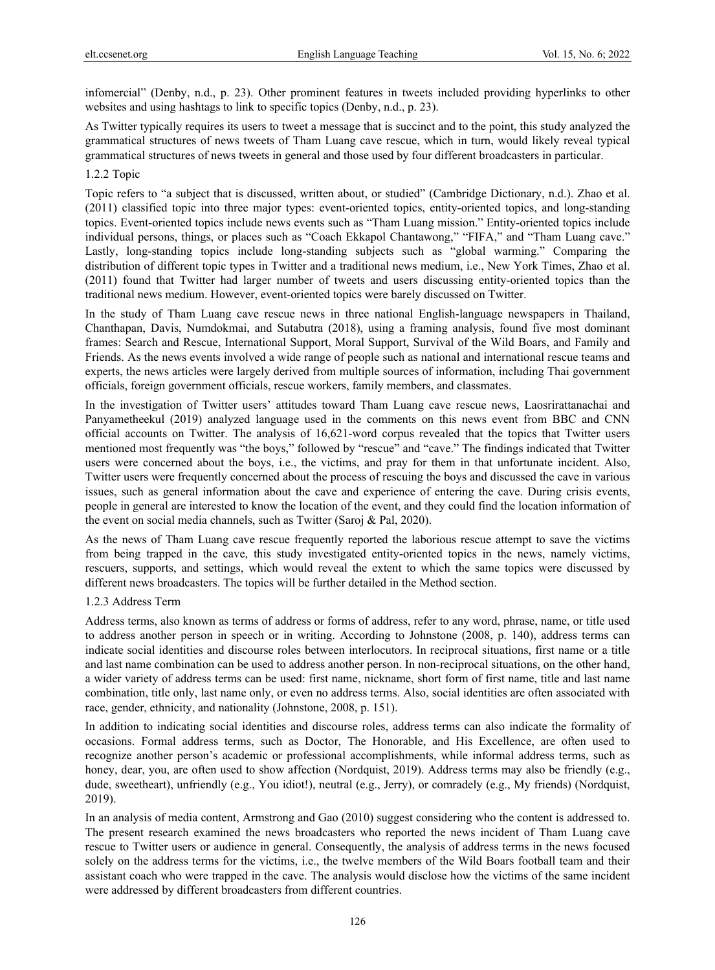infomercial" (Denby, n.d., p. 23). Other prominent features in tweets included providing hyperlinks to other websites and using hashtags to link to specific topics (Denby, n.d., p. 23).

As Twitter typically requires its users to tweet a message that is succinct and to the point, this study analyzed the grammatical structures of news tweets of Tham Luang cave rescue, which in turn, would likely reveal typical grammatical structures of news tweets in general and those used by four different broadcasters in particular.

#### 1.2.2 Topic

Topic refers to "a subject that is discussed, written about, or studied" (Cambridge Dictionary, n.d.). Zhao et al. (2011) classified topic into three major types: event-oriented topics, entity-oriented topics, and long-standing topics. Event-oriented topics include news events such as "Tham Luang mission." Entity-oriented topics include individual persons, things, or places such as "Coach Ekkapol Chantawong," "FIFA," and "Tham Luang cave." Lastly, long-standing topics include long-standing subjects such as "global warming." Comparing the distribution of different topic types in Twitter and a traditional news medium, i.e., New York Times, Zhao et al. (2011) found that Twitter had larger number of tweets and users discussing entity-oriented topics than the traditional news medium. However, event-oriented topics were barely discussed on Twitter.

In the study of Tham Luang cave rescue news in three national English-language newspapers in Thailand, Chanthapan, Davis, Numdokmai, and Sutabutra (2018), using a framing analysis, found five most dominant frames: Search and Rescue, International Support, Moral Support, Survival of the Wild Boars, and Family and Friends. As the news events involved a wide range of people such as national and international rescue teams and experts, the news articles were largely derived from multiple sources of information, including Thai government officials, foreign government officials, rescue workers, family members, and classmates.

In the investigation of Twitter users' attitudes toward Tham Luang cave rescue news, Laosrirattanachai and Panyametheekul (2019) analyzed language used in the comments on this news event from BBC and CNN official accounts on Twitter. The analysis of 16,621-word corpus revealed that the topics that Twitter users mentioned most frequently was "the boys," followed by "rescue" and "cave." The findings indicated that Twitter users were concerned about the boys, i.e., the victims, and pray for them in that unfortunate incident. Also, Twitter users were frequently concerned about the process of rescuing the boys and discussed the cave in various issues, such as general information about the cave and experience of entering the cave. During crisis events, people in general are interested to know the location of the event, and they could find the location information of the event on social media channels, such as Twitter (Saroj & Pal, 2020).

As the news of Tham Luang cave rescue frequently reported the laborious rescue attempt to save the victims from being trapped in the cave, this study investigated entity-oriented topics in the news, namely victims, rescuers, supports, and settings, which would reveal the extent to which the same topics were discussed by different news broadcasters. The topics will be further detailed in the Method section.

#### 1.2.3 Address Term

Address terms, also known as terms of address or forms of address, refer to any word, phrase, name, or title used to address another person in speech or in writing. According to Johnstone (2008, p. 140), address terms can indicate social identities and discourse roles between interlocutors. In reciprocal situations, first name or a title and last name combination can be used to address another person. In non-reciprocal situations, on the other hand, a wider variety of address terms can be used: first name, nickname, short form of first name, title and last name combination, title only, last name only, or even no address terms. Also, social identities are often associated with race, gender, ethnicity, and nationality (Johnstone, 2008, p. 151).

In addition to indicating social identities and discourse roles, address terms can also indicate the formality of occasions. Formal address terms, such as Doctor, The Honorable, and His Excellence, are often used to recognize another person's academic or professional accomplishments, while informal address terms, such as honey, dear, you, are often used to show affection (Nordquist, 2019). Address terms may also be friendly (e.g., dude, sweetheart), unfriendly (e.g., You idiot!), neutral (e.g., Jerry), or comradely (e.g., My friends) (Nordquist, 2019).

In an analysis of media content, Armstrong and Gao (2010) suggest considering who the content is addressed to. The present research examined the news broadcasters who reported the news incident of Tham Luang cave rescue to Twitter users or audience in general. Consequently, the analysis of address terms in the news focused solely on the address terms for the victims, i.e., the twelve members of the Wild Boars football team and their assistant coach who were trapped in the cave. The analysis would disclose how the victims of the same incident were addressed by different broadcasters from different countries.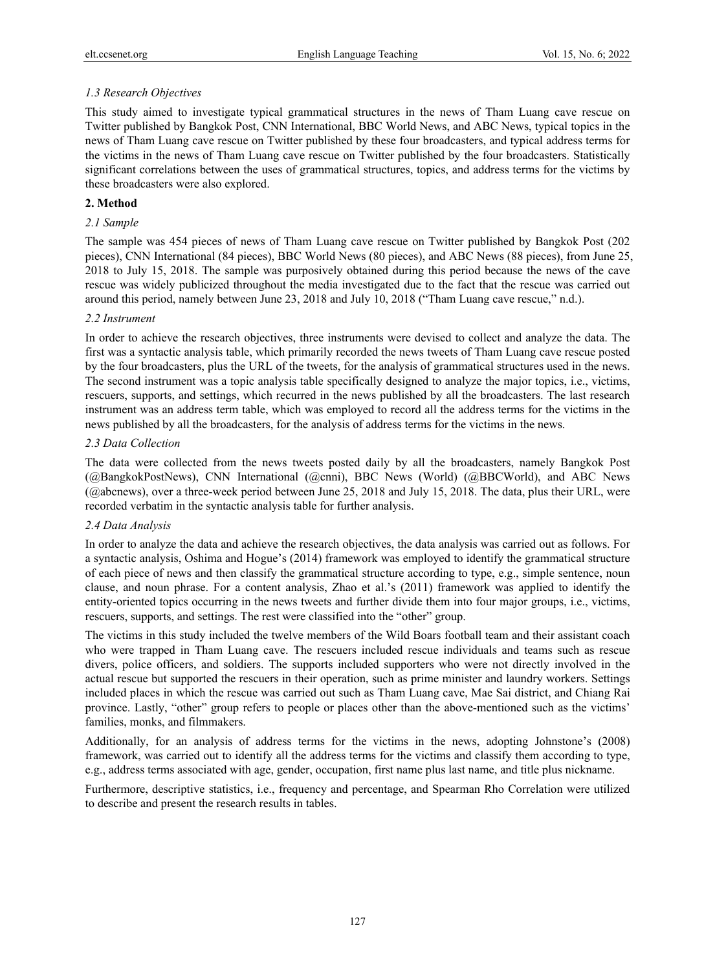# *1.3 Research Objectives*

This study aimed to investigate typical grammatical structures in the news of Tham Luang cave rescue on Twitter published by Bangkok Post, CNN International, BBC World News, and ABC News, typical topics in the news of Tham Luang cave rescue on Twitter published by these four broadcasters, and typical address terms for the victims in the news of Tham Luang cave rescue on Twitter published by the four broadcasters. Statistically significant correlations between the uses of grammatical structures, topics, and address terms for the victims by these broadcasters were also explored.

# **2. Method**

# *2.1 Sample*

The sample was 454 pieces of news of Tham Luang cave rescue on Twitter published by Bangkok Post (202 pieces), CNN International (84 pieces), BBC World News (80 pieces), and ABC News (88 pieces), from June 25, 2018 to July 15, 2018. The sample was purposively obtained during this period because the news of the cave rescue was widely publicized throughout the media investigated due to the fact that the rescue was carried out around this period, namely between June 23, 2018 and July 10, 2018 ("Tham Luang cave rescue," n.d.).

## *2.2 Instrument*

In order to achieve the research objectives, three instruments were devised to collect and analyze the data. The first was a syntactic analysis table, which primarily recorded the news tweets of Tham Luang cave rescue posted by the four broadcasters, plus the URL of the tweets, for the analysis of grammatical structures used in the news. The second instrument was a topic analysis table specifically designed to analyze the major topics, i.e., victims, rescuers, supports, and settings, which recurred in the news published by all the broadcasters. The last research instrument was an address term table, which was employed to record all the address terms for the victims in the news published by all the broadcasters, for the analysis of address terms for the victims in the news.

## *2.3 Data Collection*

The data were collected from the news tweets posted daily by all the broadcasters, namely Bangkok Post (@BangkokPostNews), CNN International (@cnni), BBC News (World) (@BBCWorld), and ABC News (@abcnews), over a three-week period between June 25, 2018 and July 15, 2018. The data, plus their URL, were recorded verbatim in the syntactic analysis table for further analysis.

# *2.4 Data Analysis*

In order to analyze the data and achieve the research objectives, the data analysis was carried out as follows. For a syntactic analysis, Oshima and Hogue's (2014) framework was employed to identify the grammatical structure of each piece of news and then classify the grammatical structure according to type, e.g., simple sentence, noun clause, and noun phrase. For a content analysis, Zhao et al.'s (2011) framework was applied to identify the entity-oriented topics occurring in the news tweets and further divide them into four major groups, i.e., victims, rescuers, supports, and settings. The rest were classified into the "other" group.

The victims in this study included the twelve members of the Wild Boars football team and their assistant coach who were trapped in Tham Luang cave. The rescuers included rescue individuals and teams such as rescue divers, police officers, and soldiers. The supports included supporters who were not directly involved in the actual rescue but supported the rescuers in their operation, such as prime minister and laundry workers. Settings included places in which the rescue was carried out such as Tham Luang cave, Mae Sai district, and Chiang Rai province. Lastly, "other" group refers to people or places other than the above-mentioned such as the victims' families, monks, and filmmakers.

Additionally, for an analysis of address terms for the victims in the news, adopting Johnstone's (2008) framework, was carried out to identify all the address terms for the victims and classify them according to type, e.g., address terms associated with age, gender, occupation, first name plus last name, and title plus nickname.

Furthermore, descriptive statistics, i.e., frequency and percentage, and Spearman Rho Correlation were utilized to describe and present the research results in tables.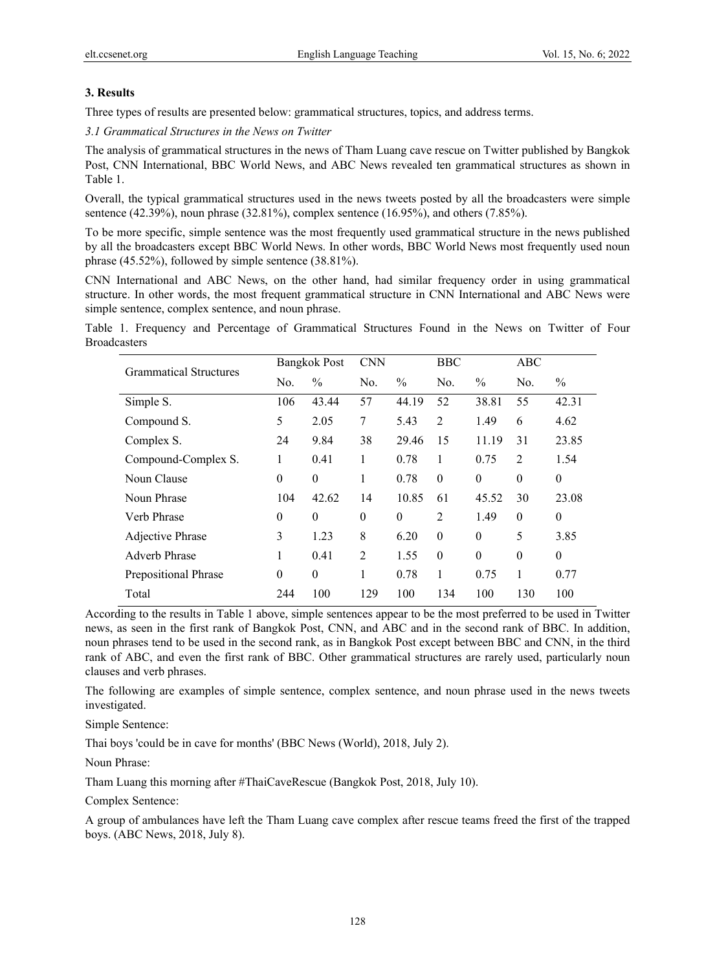# **3. Results**

Three types of results are presented below: grammatical structures, topics, and address terms.

*3.1 Grammatical Structures in the News on Twitter* 

The analysis of grammatical structures in the news of Tham Luang cave rescue on Twitter published by Bangkok Post, CNN International, BBC World News, and ABC News revealed ten grammatical structures as shown in Table 1.

Overall, the typical grammatical structures used in the news tweets posted by all the broadcasters were simple sentence (42.39%), noun phrase (32.81%), complex sentence (16.95%), and others (7.85%).

To be more specific, simple sentence was the most frequently used grammatical structure in the news published by all the broadcasters except BBC World News. In other words, BBC World News most frequently used noun phrase (45.52%), followed by simple sentence (38.81%).

CNN International and ABC News, on the other hand, had similar frequency order in using grammatical structure. In other words, the most frequent grammatical structure in CNN International and ABC News were simple sentence, complex sentence, and noun phrase.

Table 1. Frequency and Percentage of Grammatical Structures Found in the News on Twitter of Four Broadcasters

| <b>Grammatical Structures</b> | <b>Bangkok Post</b> |                | <b>CNN</b> |               | <b>BBC</b>     |               | ABC      |               |
|-------------------------------|---------------------|----------------|------------|---------------|----------------|---------------|----------|---------------|
|                               | No.                 | $\frac{0}{0}$  | No.        | $\frac{0}{0}$ | No.            | $\frac{0}{0}$ | No.      | $\frac{0}{0}$ |
| Simple S.                     | 106                 | 43.44          | 57         | 44.19         | 52             | 38.81         | 55       | 42.31         |
| Compound S.                   | 5                   | 2.05           | 7          | 5.43          | $\overline{2}$ | 1.49          | 6        | 4.62          |
| Complex S.                    | 24                  | 9.84           | 38         | 29.46         | 15             | 11.19         | 31       | 23.85         |
| Compound-Complex S.           | 1                   | 0.41           | 1          | 0.78          | 1              | 0.75          | 2        | 1.54          |
| Noun Clause                   | $\theta$            | $\theta$       | 1          | 0.78          | $\theta$       | $\theta$      | $\theta$ | $\theta$      |
| Noun Phrase                   | 104                 | 42.62          | 14         | 10.85         | 61             | 45.52         | 30       | 23.08         |
| Verb Phrase                   | $\theta$            | $\theta$       | $\theta$   | $\theta$      | $\overline{2}$ | 1.49          | $\theta$ | $\theta$      |
| Adjective Phrase              | 3                   | 1.23           | 8          | 6.20          | $\theta$       | $\theta$      | 5        | 3.85          |
| <b>Adverb Phrase</b>          | 1                   | 0.41           | 2          | 1.55          | $\theta$       | $\theta$      | $\theta$ | $\theta$      |
| Prepositional Phrase          | $\theta$            | $\overline{0}$ | 1          | 0.78          | 1              | 0.75          | 1        | 0.77          |
| Total                         | 244                 | 100            | 129        | 100           | 134            | 100           | 130      | 100           |

According to the results in Table 1 above, simple sentences appear to be the most preferred to be used in Twitter news, as seen in the first rank of Bangkok Post, CNN, and ABC and in the second rank of BBC. In addition, noun phrases tend to be used in the second rank, as in Bangkok Post except between BBC and CNN, in the third rank of ABC, and even the first rank of BBC. Other grammatical structures are rarely used, particularly noun clauses and verb phrases.

The following are examples of simple sentence, complex sentence, and noun phrase used in the news tweets investigated.

Simple Sentence:

Thai boys 'could be in cave for months' (BBC News (World), 2018, July 2).

Noun Phrase:

Tham Luang this morning after #ThaiCaveRescue (Bangkok Post, 2018, July 10).

Complex Sentence:

A group of ambulances have left the Tham Luang cave complex after rescue teams freed the first of the trapped boys. (ABC News, 2018, July 8).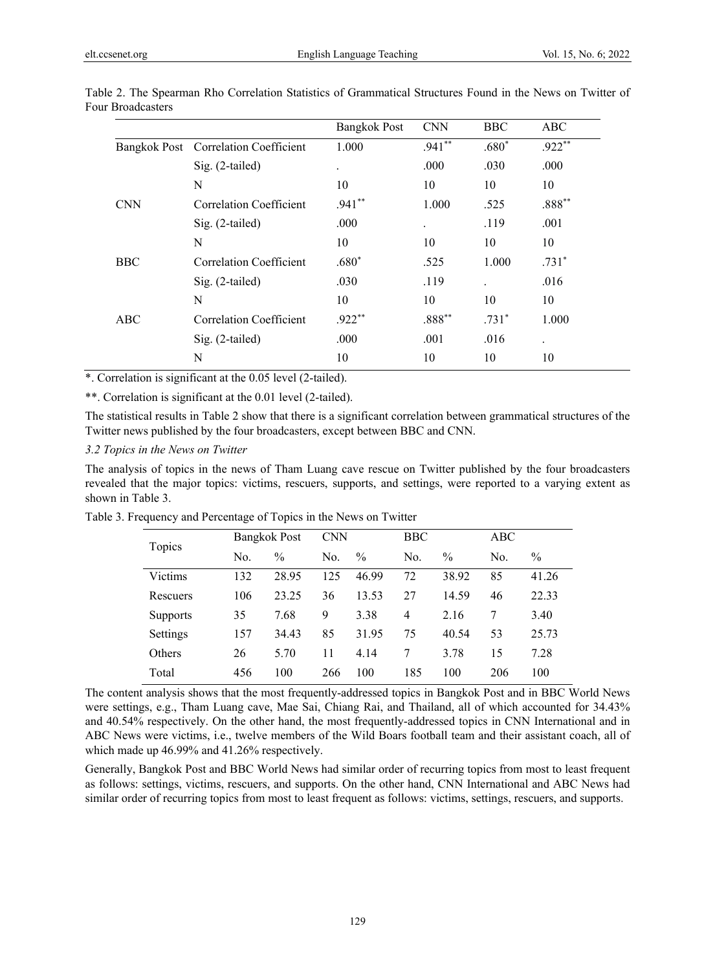|            |                                      | <b>Bangkok Post</b> | <b>CNN</b> | <b>BBC</b>           | <b>ABC</b> |
|------------|--------------------------------------|---------------------|------------|----------------------|------------|
|            | Bangkok Post Correlation Coefficient | 1.000               | $.941**$   | $.680*$              | $.922**$   |
|            | Sig. (2-tailed)                      | $\bullet$           | .000       | .030                 | .000       |
|            | N                                    | 10                  | 10         | 10                   | 10         |
| <b>CNN</b> | Correlation Coefficient              | $.941**$            | 1.000      | .525                 | $.888**$   |
|            | $Sig. (2-tailed)$                    | .000                |            | .119                 | .001       |
|            | N                                    | 10                  | 10         | 10                   | 10         |
| <b>BBC</b> | Correlation Coefficient              | $.680*$             | .525       | 1.000                | $.731*$    |
|            | $Sig. (2-tailed)$                    | .030                | .119       | $\ddot{\phantom{0}}$ | .016       |
|            | N                                    | 10                  | 10         | 10                   | 10         |
| ABC        | Correlation Coefficient              | $.922**$            | $.888**$   | $.731*$              | 1.000      |
|            | Sig. (2-tailed)                      | .000                | .001       | .016                 | $\bullet$  |
|            | N                                    | 10                  | 10         | 10                   | 10         |

Table 2. The Spearman Rho Correlation Statistics of Grammatical Structures Found in the News on Twitter of Four Broadcasters

\*. Correlation is significant at the 0.05 level (2-tailed).

\*\*. Correlation is significant at the 0.01 level (2-tailed).

The statistical results in Table 2 show that there is a significant correlation between grammatical structures of the Twitter news published by the four broadcasters, except between BBC and CNN.

#### *3.2 Topics in the News on Twitter*

The analysis of topics in the news of Tham Luang cave rescue on Twitter published by the four broadcasters revealed that the major topics: victims, rescuers, supports, and settings, were reported to a varying extent as shown in Table 3.

|                 | <b>Bangkok Post</b> |               |     | <b>CNN</b>    |                | BBC           |     |               |
|-----------------|---------------------|---------------|-----|---------------|----------------|---------------|-----|---------------|
| Topics          | No.                 | $\frac{0}{0}$ | No. | $\frac{0}{0}$ | No.            | $\frac{0}{0}$ | No. | $\frac{0}{0}$ |
| Victims         | 132                 | 28.95         | 125 | 46.99         | 72             | 38.92         | 85  | 41.26         |
| Rescuers        | 106                 | 23.25         | 36  | 13.53         | 27             | 14.59         | 46  | 22.33         |
| <b>Supports</b> | 35                  | 7.68          | 9   | 3.38          | $\overline{4}$ | 2.16          | 7   | 3.40          |
| Settings        | 157                 | 34.43         | 85  | 31.95         | 75             | 40.54         | 53  | 25.73         |
| Others          | 26                  | 5.70          | 11  | 4.14          | 7              | 3.78          | 15  | 7.28          |
| Total           | 456                 | 100           | 266 | 100           | 185            | 100           | 206 | 100           |

Table 3. Frequency and Percentage of Topics in the News on Twitter

The content analysis shows that the most frequently-addressed topics in Bangkok Post and in BBC World News were settings, e.g., Tham Luang cave, Mae Sai, Chiang Rai, and Thailand, all of which accounted for 34.43% and 40.54% respectively. On the other hand, the most frequently-addressed topics in CNN International and in ABC News were victims, i.e., twelve members of the Wild Boars football team and their assistant coach, all of which made up 46.99% and 41.26% respectively.

Generally, Bangkok Post and BBC World News had similar order of recurring topics from most to least frequent as follows: settings, victims, rescuers, and supports. On the other hand, CNN International and ABC News had similar order of recurring topics from most to least frequent as follows: victims, settings, rescuers, and supports.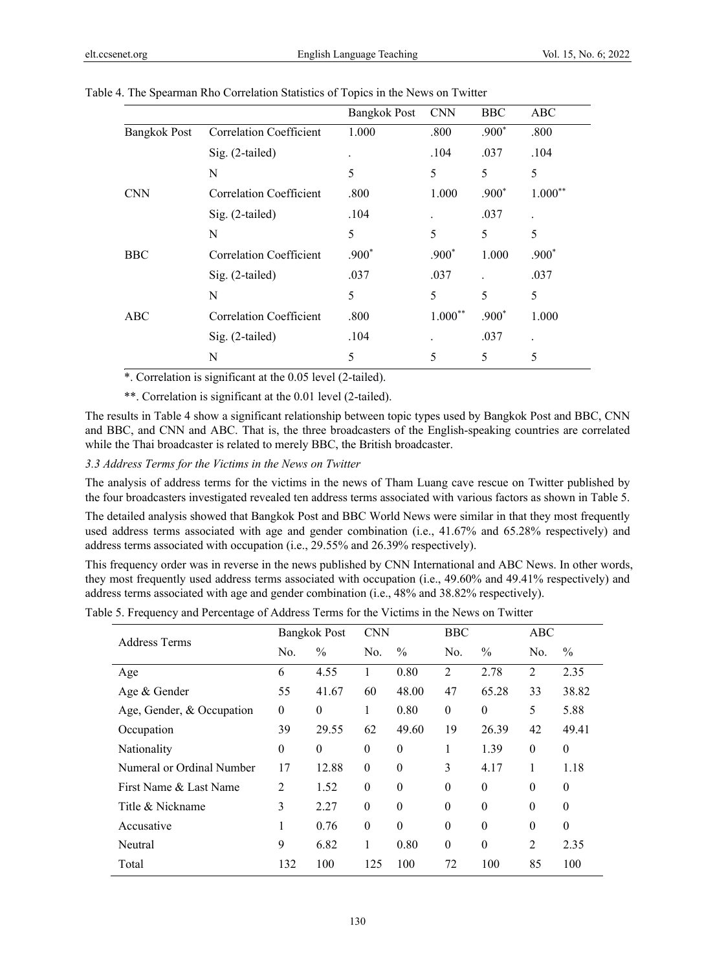|                     |                                | <b>Bangkok Post</b> | <b>CNN</b> | <b>BBC</b> | ABC                  |
|---------------------|--------------------------------|---------------------|------------|------------|----------------------|
| <b>Bangkok Post</b> | <b>Correlation Coefficient</b> | 1.000               | .800       | $.900*$    | .800                 |
|                     | Sig. (2-tailed)                | $\bullet$           | .104       | .037       | .104                 |
|                     | N                              | 5                   | 5          | 5          | 5                    |
| <b>CNN</b>          | Correlation Coefficient        | .800                | 1.000      | $.900*$    | $1.000**$            |
|                     | Sig. (2-tailed)                | .104                |            | .037       | $\ddot{\phantom{0}}$ |
|                     | N                              | 5                   | 5          | 5          | 5                    |
| <b>BBC</b>          | Correlation Coefficient        | $.900*$             | $.900*$    | 1.000      | $.900*$              |
|                     | Sig. (2-tailed)                | .037                | .037       |            | .037                 |
|                     | N                              | 5                   | 5          | 5          | 5                    |
| ABC                 | Correlation Coefficient        | .800                | $1.000**$  | $.900*$    | 1.000                |
|                     | Sig. (2-tailed)                | .104                |            | .037       |                      |
|                     | N                              | 5                   | 5          | 5          | 5                    |

Table 4. The Spearman Rho Correlation Statistics of Topics in the News on Twitter

\*. Correlation is significant at the 0.05 level (2-tailed).

\*\*. Correlation is significant at the 0.01 level (2-tailed).

The results in Table 4 show a significant relationship between topic types used by Bangkok Post and BBC, CNN and BBC, and CNN and ABC. That is, the three broadcasters of the English-speaking countries are correlated while the Thai broadcaster is related to merely BBC, the British broadcaster.

*3.3 Address Terms for the Victims in the News on Twitter* 

The analysis of address terms for the victims in the news of Tham Luang cave rescue on Twitter published by the four broadcasters investigated revealed ten address terms associated with various factors as shown in Table 5.

The detailed analysis showed that Bangkok Post and BBC World News were similar in that they most frequently used address terms associated with age and gender combination (i.e., 41.67% and 65.28% respectively) and address terms associated with occupation (i.e., 29.55% and 26.39% respectively).

This frequency order was in reverse in the news published by CNN International and ABC News. In other words, they most frequently used address terms associated with occupation (i.e., 49.60% and 49.41% respectively) and address terms associated with age and gender combination (i.e., 48% and 38.82% respectively).

Table 5. Frequency and Percentage of Address Terms for the Victims in the News on Twitter

|                           | <b>Bangkok Post</b> |               | <b>CNN</b> |               | <b>BBC</b> |               | ABC            |               |
|---------------------------|---------------------|---------------|------------|---------------|------------|---------------|----------------|---------------|
| Address Terms             | No.                 | $\frac{0}{0}$ | No.        | $\frac{0}{0}$ | No.        | $\frac{0}{0}$ | No.            | $\frac{0}{0}$ |
| Age                       | 6                   | 4.55          |            | 0.80          | 2          | 2.78          | $\overline{2}$ | 2.35          |
| Age & Gender              | 55                  | 41.67         | 60         | 48.00         | 47         | 65.28         | 33             | 38.82         |
| Age, Gender, & Occupation | $\theta$            | $\theta$      | 1          | 0.80          | $\theta$   | $\theta$      | 5              | 5.88          |
| Occupation                | 39                  | 29.55         | 62         | 49.60         | 19         | 26.39         | 42             | 49.41         |
| Nationality               | $\theta$            | $\theta$      | $\theta$   | $\theta$      | 1          | 1.39          | $\theta$       | $\theta$      |
| Numeral or Ordinal Number | 17                  | 12.88         | $\theta$   | $\theta$      | 3          | 4.17          | 1              | 1.18          |
| First Name & Last Name    | $\overline{2}$      | 1.52          | $\theta$   | $\theta$      | $\theta$   | $\theta$      | $\Omega$       | $\Omega$      |
| Title & Nickname          | 3                   | 2.27          | $\theta$   | $\Omega$      | $\theta$   | $\Omega$      | $\theta$       | $\Omega$      |
| Accusative                | I.                  | 0.76          | $\theta$   | $\theta$      | $\theta$   | $\theta$      | $\theta$       | $\theta$      |
| Neutral                   | 9                   | 6.82          | 1          | 0.80          | $\theta$   | $\theta$      | $\overline{2}$ | 2.35          |
| Total                     | 132                 | 100           | 125        | 100           | 72         | 100           | 85             | 100           |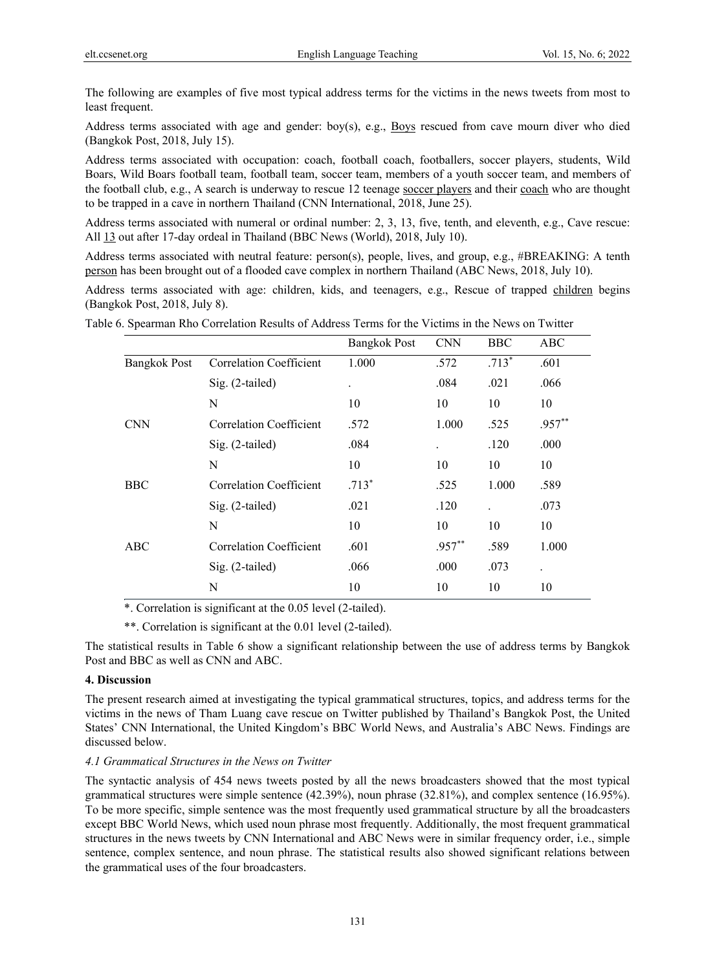The following are examples of five most typical address terms for the victims in the news tweets from most to least frequent.

Address terms associated with age and gender: boy(s), e.g., Boys rescued from cave mourn diver who died (Bangkok Post, 2018, July 15).

Address terms associated with occupation: coach, football coach, footballers, soccer players, students, Wild Boars, Wild Boars football team, football team, soccer team, members of a youth soccer team, and members of the football club, e.g., A search is underway to rescue 12 teenage soccer players and their coach who are thought to be trapped in a cave in northern Thailand (CNN International, 2018, June 25).

Address terms associated with numeral or ordinal number: 2, 3, 13, five, tenth, and eleventh, e.g., Cave rescue: All 13 out after 17-day ordeal in Thailand (BBC News (World), 2018, July 10).

Address terms associated with neutral feature: person(s), people, lives, and group, e.g., #BREAKING: A tenth person has been brought out of a flooded cave complex in northern Thailand (ABC News, 2018, July 10).

Address terms associated with age: children, kids, and teenagers, e.g., Rescue of trapped children begins (Bangkok Post, 2018, July 8).

|                     |                                | <b>Bangkok Post</b>  | <b>CNN</b> | <b>BBC</b> | <b>ABC</b> |
|---------------------|--------------------------------|----------------------|------------|------------|------------|
| <b>Bangkok Post</b> | <b>Correlation Coefficient</b> | 1.000                | .572       | $.713*$    | .601       |
|                     | $Sig. (2-tailed)$              | $\ddot{\phantom{a}}$ | .084       | .021       | .066       |
|                     | N                              | 10                   | 10         | 10         | 10         |
| <b>CNN</b>          | Correlation Coefficient        | .572                 | 1.000      | .525       | $.957**$   |
|                     | Sig. (2-tailed)                | .084                 | $\bullet$  | .120       | .000       |
|                     | N                              | 10                   | 10         | 10         | 10         |
| <b>BBC</b>          | Correlation Coefficient        | $.713*$              | .525       | 1.000      | .589       |
|                     | Sig. (2-tailed)                | .021                 | .120       |            | .073       |
|                     | N                              | 10                   | 10         | 10         | 10         |
| ABC                 | <b>Correlation Coefficient</b> | .601                 | $.957**$   | .589       | 1.000      |
|                     | Sig. (2-tailed)                | .066                 | .000       | .073       | $\bullet$  |
|                     | N                              | 10                   | 10         | 10         | 10         |

Table 6. Spearman Rho Correlation Results of Address Terms for the Victims in the News on Twitter

\*. Correlation is significant at the 0.05 level (2-tailed).

\*\*. Correlation is significant at the 0.01 level (2-tailed).

The statistical results in Table 6 show a significant relationship between the use of address terms by Bangkok Post and BBC as well as CNN and ABC.

# **4. Discussion**

The present research aimed at investigating the typical grammatical structures, topics, and address terms for the victims in the news of Tham Luang cave rescue on Twitter published by Thailand's Bangkok Post, the United States' CNN International, the United Kingdom's BBC World News, and Australia's ABC News. Findings are discussed below.

#### *4.1 Grammatical Structures in the News on Twitter*

The syntactic analysis of 454 news tweets posted by all the news broadcasters showed that the most typical grammatical structures were simple sentence (42.39%), noun phrase (32.81%), and complex sentence (16.95%). To be more specific, simple sentence was the most frequently used grammatical structure by all the broadcasters except BBC World News, which used noun phrase most frequently. Additionally, the most frequent grammatical structures in the news tweets by CNN International and ABC News were in similar frequency order, i.e., simple sentence, complex sentence, and noun phrase. The statistical results also showed significant relations between the grammatical uses of the four broadcasters.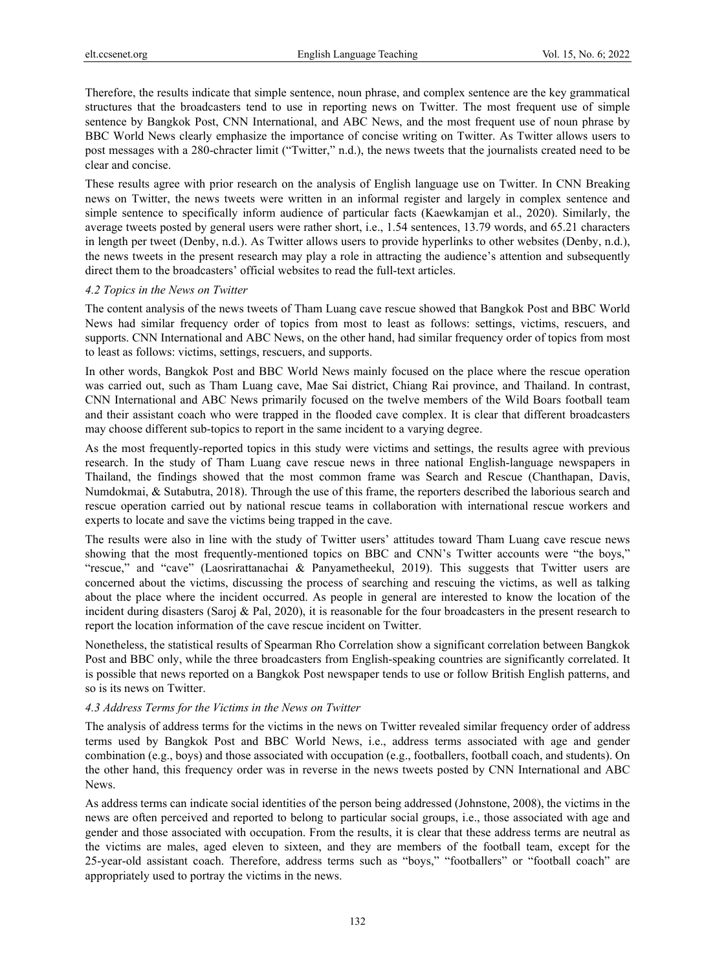Therefore, the results indicate that simple sentence, noun phrase, and complex sentence are the key grammatical structures that the broadcasters tend to use in reporting news on Twitter. The most frequent use of simple sentence by Bangkok Post, CNN International, and ABC News, and the most frequent use of noun phrase by BBC World News clearly emphasize the importance of concise writing on Twitter. As Twitter allows users to post messages with a 280-chracter limit ("Twitter," n.d.), the news tweets that the journalists created need to be clear and concise.

These results agree with prior research on the analysis of English language use on Twitter. In CNN Breaking news on Twitter, the news tweets were written in an informal register and largely in complex sentence and simple sentence to specifically inform audience of particular facts (Kaewkamjan et al., 2020). Similarly, the average tweets posted by general users were rather short, i.e., 1.54 sentences, 13.79 words, and 65.21 characters in length per tweet (Denby, n.d.). As Twitter allows users to provide hyperlinks to other websites (Denby, n.d.), the news tweets in the present research may play a role in attracting the audience's attention and subsequently direct them to the broadcasters' official websites to read the full-text articles.

#### *4.2 Topics in the News on Twitter*

The content analysis of the news tweets of Tham Luang cave rescue showed that Bangkok Post and BBC World News had similar frequency order of topics from most to least as follows: settings, victims, rescuers, and supports. CNN International and ABC News, on the other hand, had similar frequency order of topics from most to least as follows: victims, settings, rescuers, and supports.

In other words, Bangkok Post and BBC World News mainly focused on the place where the rescue operation was carried out, such as Tham Luang cave, Mae Sai district, Chiang Rai province, and Thailand. In contrast, CNN International and ABC News primarily focused on the twelve members of the Wild Boars football team and their assistant coach who were trapped in the flooded cave complex. It is clear that different broadcasters may choose different sub-topics to report in the same incident to a varying degree.

As the most frequently-reported topics in this study were victims and settings, the results agree with previous research. In the study of Tham Luang cave rescue news in three national English-language newspapers in Thailand, the findings showed that the most common frame was Search and Rescue (Chanthapan, Davis, Numdokmai, & Sutabutra, 2018). Through the use of this frame, the reporters described the laborious search and rescue operation carried out by national rescue teams in collaboration with international rescue workers and experts to locate and save the victims being trapped in the cave.

The results were also in line with the study of Twitter users' attitudes toward Tham Luang cave rescue news showing that the most frequently-mentioned topics on BBC and CNN's Twitter accounts were "the boys," "rescue," and "cave" (Laosrirattanachai & Panyametheekul, 2019). This suggests that Twitter users are concerned about the victims, discussing the process of searching and rescuing the victims, as well as talking about the place where the incident occurred. As people in general are interested to know the location of the incident during disasters (Saroj & Pal, 2020), it is reasonable for the four broadcasters in the present research to report the location information of the cave rescue incident on Twitter.

Nonetheless, the statistical results of Spearman Rho Correlation show a significant correlation between Bangkok Post and BBC only, while the three broadcasters from English-speaking countries are significantly correlated. It is possible that news reported on a Bangkok Post newspaper tends to use or follow British English patterns, and so is its news on Twitter.

## *4.3 Address Terms for the Victims in the News on Twitter*

The analysis of address terms for the victims in the news on Twitter revealed similar frequency order of address terms used by Bangkok Post and BBC World News, i.e., address terms associated with age and gender combination (e.g., boys) and those associated with occupation (e.g., footballers, football coach, and students). On the other hand, this frequency order was in reverse in the news tweets posted by CNN International and ABC News.

As address terms can indicate social identities of the person being addressed (Johnstone, 2008), the victims in the news are often perceived and reported to belong to particular social groups, i.e., those associated with age and gender and those associated with occupation. From the results, it is clear that these address terms are neutral as the victims are males, aged eleven to sixteen, and they are members of the football team, except for the 25-year-old assistant coach. Therefore, address terms such as "boys," "footballers" or "football coach" are appropriately used to portray the victims in the news.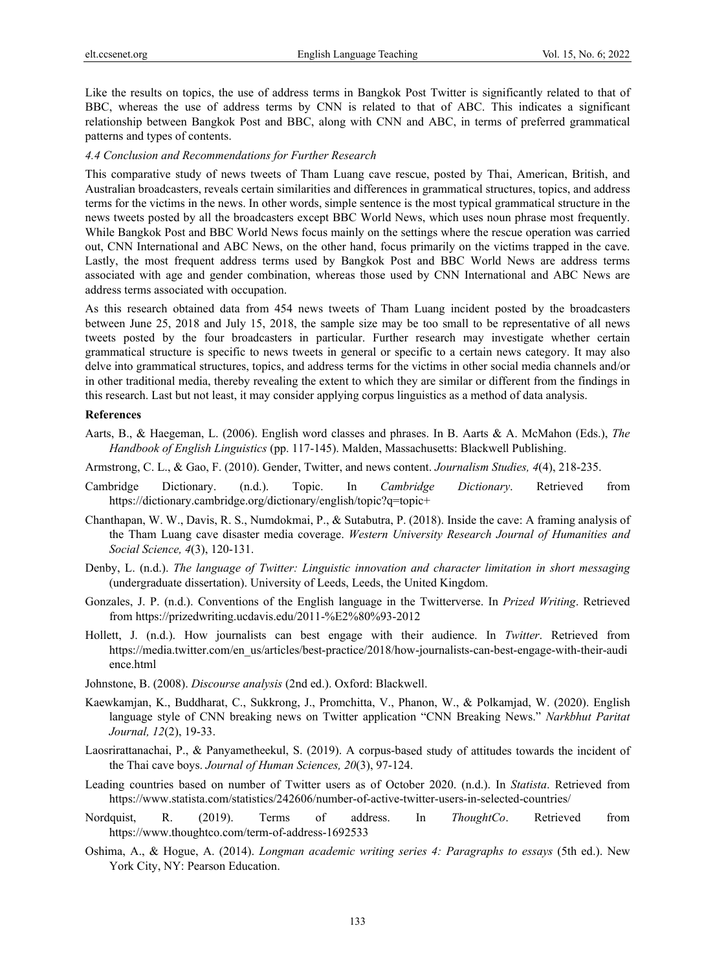Like the results on topics, the use of address terms in Bangkok Post Twitter is significantly related to that of BBC, whereas the use of address terms by CNN is related to that of ABC. This indicates a significant relationship between Bangkok Post and BBC, along with CNN and ABC, in terms of preferred grammatical patterns and types of contents.

#### *4.4 Conclusion and Recommendations for Further Research*

This comparative study of news tweets of Tham Luang cave rescue, posted by Thai, American, British, and Australian broadcasters, reveals certain similarities and differences in grammatical structures, topics, and address terms for the victims in the news. In other words, simple sentence is the most typical grammatical structure in the news tweets posted by all the broadcasters except BBC World News, which uses noun phrase most frequently. While Bangkok Post and BBC World News focus mainly on the settings where the rescue operation was carried out, CNN International and ABC News, on the other hand, focus primarily on the victims trapped in the cave. Lastly, the most frequent address terms used by Bangkok Post and BBC World News are address terms associated with age and gender combination, whereas those used by CNN International and ABC News are address terms associated with occupation.

As this research obtained data from 454 news tweets of Tham Luang incident posted by the broadcasters between June 25, 2018 and July 15, 2018, the sample size may be too small to be representative of all news tweets posted by the four broadcasters in particular. Further research may investigate whether certain grammatical structure is specific to news tweets in general or specific to a certain news category. It may also delve into grammatical structures, topics, and address terms for the victims in other social media channels and/or in other traditional media, thereby revealing the extent to which they are similar or different from the findings in this research. Last but not least, it may consider applying corpus linguistics as a method of data analysis.

#### **References**

- Aarts, B., & Haegeman, L. (2006). English word classes and phrases. In B. Aarts & A. McMahon (Eds.), *The Handbook of English Linguistics* (pp. 117-145). Malden, Massachusetts: Blackwell Publishing.
- Armstrong, C. L., & Gao, F. (2010). Gender, Twitter, and news content. *Journalism Studies, 4*(4), 218-235.
- Cambridge Dictionary. (n.d.). Topic. In *Cambridge Dictionary*. Retrieved from https://dictionary.cambridge.org/dictionary/english/topic?q=topic+
- Chanthapan, W. W., Davis, R. S., Numdokmai, P., & Sutabutra, P. (2018). Inside the cave: A framing analysis of the Tham Luang cave disaster media coverage. *Western University Research Journal of Humanities and Social Science, 4*(3), 120-131.
- Denby, L. (n.d.). *The language of Twitter: Linguistic innovation and character limitation in short messaging* (undergraduate dissertation). University of Leeds, Leeds, the United Kingdom.
- Gonzales, J. P. (n.d.). Conventions of the English language in the Twitterverse. In *Prized Writing*. Retrieved from https://prizedwriting.ucdavis.edu/2011-%E2%80%93-2012
- Hollett, J. (n.d.). How journalists can best engage with their audience. In *Twitter*. Retrieved from https://media.twitter.com/en\_us/articles/best-practice/2018/how-journalists-can-best-engage-with-their-audi ence.html
- Johnstone, B. (2008). *Discourse analysis* (2nd ed.). Oxford: Blackwell.
- Kaewkamjan, K., Buddharat, C., Sukkrong, J., Promchitta, V., Phanon, W., & Polkamjad, W. (2020). English language style of CNN breaking news on Twitter application "CNN Breaking News." *Narkbhut Paritat Journal, 12*(2), 19-33.
- Laosrirattanachai, P., & Panyametheekul, S. (2019). A corpus-based study of attitudes towards the incident of the Thai cave boys. *Journal of Human Sciences, 20*(3), 97-124.
- Leading countries based on number of Twitter users as of October 2020. (n.d.). In *Statista*. Retrieved from https://www.statista.com/statistics/242606/number-of-active-twitter-users-in-selected-countries/
- Nordquist, R. (2019). Terms of address. In *ThoughtCo*. Retrieved from https://www.thoughtco.com/term-of-address-1692533
- Oshima, A., & Hogue, A. (2014). *Longman academic writing series 4: Paragraphs to essays* (5th ed.). New York City, NY: Pearson Education.